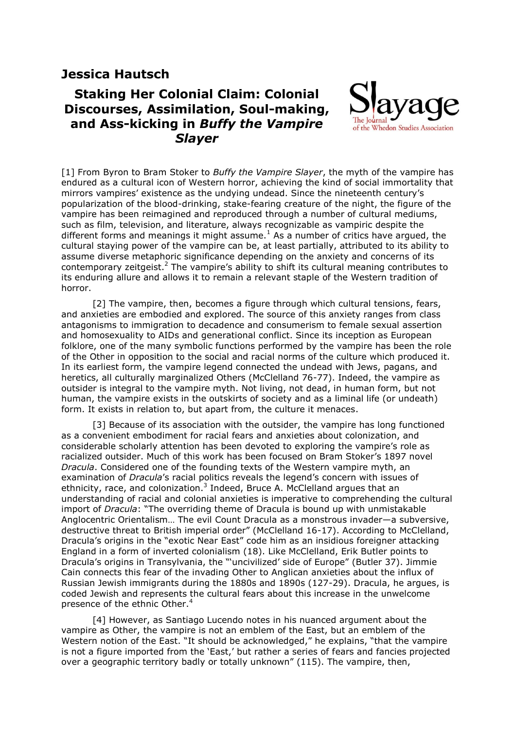## **Jessica Hautsch**

## **Staking Her Colonial Claim: Colonial Discourses, Assimilation, Soul-making, and Ass-kicking in** *Buffy the Vampire Slayer*



[1] From Byron to Bram Stoker to *Buffy the Vampire Slayer*, the myth of the vampire has endured as a cultural icon of Western horror, achieving the kind of social immortality that mirrors vampires" existence as the undying undead. Since the nineteenth century"s popularization of the blood-drinking, stake-fearing creature of the night, the figure of the vampire has been reimagined and reproduced through a number of cultural mediums, such as film, television, and literature, always recognizable as vampiric despite the different forms and meanings it might assume.<sup>1</sup> As a number of critics have argued, the cultural staying power of the vampire can be, at least partially, attributed to its ability to assume diverse metaphoric significance depending on the anxiety and concerns of its contemporary zeitgeist.<sup>2</sup> The vampire's ability to shift its cultural meaning contributes to its enduring allure and allows it to remain a relevant staple of the Western tradition of horror.

[2] The vampire, then, becomes a figure through which cultural tensions, fears, and anxieties are embodied and explored. The source of this anxiety ranges from class antagonisms to immigration to decadence and consumerism to female sexual assertion and homosexuality to AIDs and generational conflict. Since its inception as European folklore, one of the many symbolic functions performed by the vampire has been the role of the Other in opposition to the social and racial norms of the culture which produced it. In its earliest form, the vampire legend connected the undead with Jews, pagans, and heretics, all culturally marginalized Others (McClelland 76-77). Indeed, the vampire as outsider is integral to the vampire myth. Not living, not dead, in human form, but not human, the vampire exists in the outskirts of society and as a liminal life (or undeath) form. It exists in relation to, but apart from, the culture it menaces.

[3] Because of its association with the outsider, the vampire has long functioned as a convenient embodiment for racial fears and anxieties about colonization, and considerable scholarly attention has been devoted to exploring the vampire's role as racialized outsider. Much of this work has been focused on Bram Stoker"s 1897 novel *Dracula*. Considered one of the founding texts of the Western vampire myth, an examination of *Dracula*"s racial politics reveals the legend"s concern with issues of ethnicity, race, and colonization. $3$  Indeed, Bruce A. McClelland argues that an understanding of racial and colonial anxieties is imperative to comprehending the cultural import of *Dracula*: "The overriding theme of Dracula is bound up with unmistakable Anglocentric Orientalism… The evil Count Dracula as a monstrous invader—a subversive, destructive threat to British imperial order" (McClelland 16-17). According to McClelland, Dracula"s origins in the "exotic Near East" code him as an insidious foreigner attacking England in a form of inverted colonialism (18). Like McClelland, Erik Butler points to Dracula"s origins in Transylvania, the ""uncivilized" side of Europe" (Butler 37). Jimmie Cain connects this fear of the invading Other to Anglican anxieties about the influx of Russian Jewish immigrants during the 1880s and 1890s (127-29). Dracula, he argues, is coded Jewish and represents the cultural fears about this increase in the unwelcome presence of the ethnic Other.<sup>4</sup>

[4] However, as Santiago Lucendo notes in his nuanced argument about the vampire as Other, the vampire is not an emblem of the East, but an emblem of the Western notion of the East. "It should be acknowledged," he explains, "that the vampire is not a figure imported from the "East," but rather a series of fears and fancies projected over a geographic territory badly or totally unknown" (115). The vampire, then,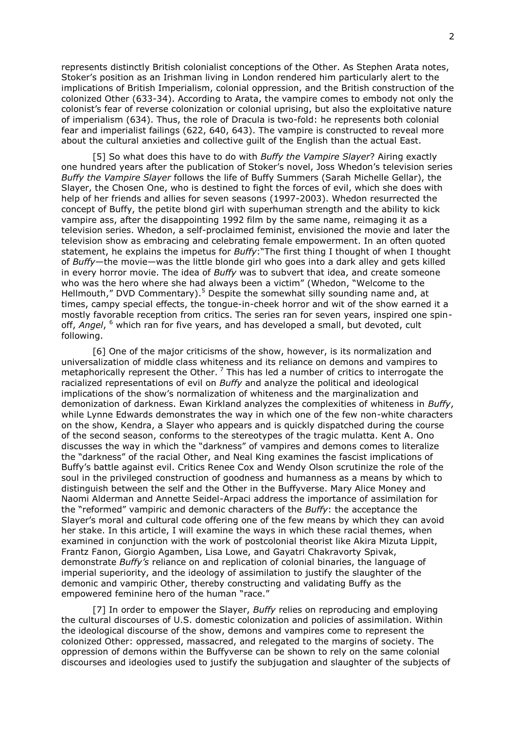represents distinctly British colonialist conceptions of the Other. As Stephen Arata notes, Stoker"s position as an Irishman living in London rendered him particularly alert to the implications of British Imperialism, colonial oppression, and the British construction of the colonized Other (633-34). According to Arata, the vampire comes to embody not only the colonist"s fear of reverse colonization or colonial uprising, but also the exploitative nature of imperialism (634). Thus, the role of Dracula is two-fold: he represents both colonial fear and imperialist failings (622, 640, 643). The vampire is constructed to reveal more about the cultural anxieties and collective guilt of the English than the actual East.

[5] So what does this have to do with *Buffy the Vampire Slayer*? Airing exactly one hundred years after the publication of Stoker"s novel, Joss Whedon"s television series *Buffy the Vampire Slayer* follows the life of Buffy Summers (Sarah Michelle Gellar), the Slayer, the Chosen One, who is destined to fight the forces of evil, which she does with help of her friends and allies for seven seasons (1997-2003). Whedon resurrected the concept of Buffy, the petite blond girl with superhuman strength and the ability to kick vampire ass, after the disappointing 1992 film by the same name, reimaging it as a television series. Whedon, a self-proclaimed feminist, envisioned the movie and later the television show as embracing and celebrating female empowerment. In an often quoted statement, he explains the impetus for *Buffy*:"The first thing I thought of when I thought of *Buffy*—the movie—was the little blonde girl who goes into a dark alley and gets killed in every horror movie. The idea of *Buffy* was to subvert that idea, and create someone who was the hero where she had always been a victim" (Whedon, "Welcome to the Hellmouth," DVD Commentary).<sup>5</sup> Despite the somewhat silly sounding name and, at times, campy special effects, the tongue-in-cheek horror and wit of the show earned it a mostly favorable reception from critics. The series ran for seven years, inspired one spinoff, *Angel*, <sup>6</sup> which ran for five years, and has developed a small, but devoted, cult following.

[6] One of the major criticisms of the show, however, is its normalization and universalization of middle class whiteness and its reliance on demons and vampires to metaphorically represent the Other.<sup>7</sup> This has led a number of critics to interrogate the racialized representations of evil on *Buffy* and analyze the political and ideological implications of the show"s normalization of whiteness and the marginalization and demonization of darkness. Ewan Kirkland analyzes the complexities of whiteness in *Buffy*, while Lynne Edwards demonstrates the way in which one of the few non-white characters on the show, Kendra, a Slayer who appears and is quickly dispatched during the course of the second season, conforms to the stereotypes of the tragic mulatta. Kent A. Ono discusses the way in which the "darkness" of vampires and demons comes to literalize the "darkness" of the racial Other, and Neal King examines the fascist implications of Buffy"s battle against evil. Critics Renee Cox and Wendy Olson scrutinize the role of the soul in the privileged construction of goodness and humanness as a means by which to distinguish between the self and the Other in the Buffyverse. Mary Alice Money and Naomi Alderman and Annette Seidel-Arpaci address the importance of assimilation for the "reformed" vampiric and demonic characters of the *Buffy*: the acceptance the Slayer"s moral and cultural code offering one of the few means by which they can avoid her stake. In this article, I will examine the ways in which these racial themes, when examined in conjunction with the work of postcolonial theorist like Akira Mizuta Lippit, Frantz Fanon, Giorgio Agamben, Lisa Lowe, and Gayatri Chakravorty Spivak, demonstrate *Buffy's* reliance on and replication of colonial binaries, the language of imperial superiority, and the ideology of assimilation to justify the slaughter of the demonic and vampiric Other, thereby constructing and validating Buffy as the empowered feminine hero of the human "race."

[7] In order to empower the Slayer, *Buffy* relies on reproducing and employing the cultural discourses of U.S. domestic colonization and policies of assimilation. Within the ideological discourse of the show, demons and vampires come to represent the colonized Other: oppressed, massacred, and relegated to the margins of society. The oppression of demons within the Buffyverse can be shown to rely on the same colonial discourses and ideologies used to justify the subjugation and slaughter of the subjects of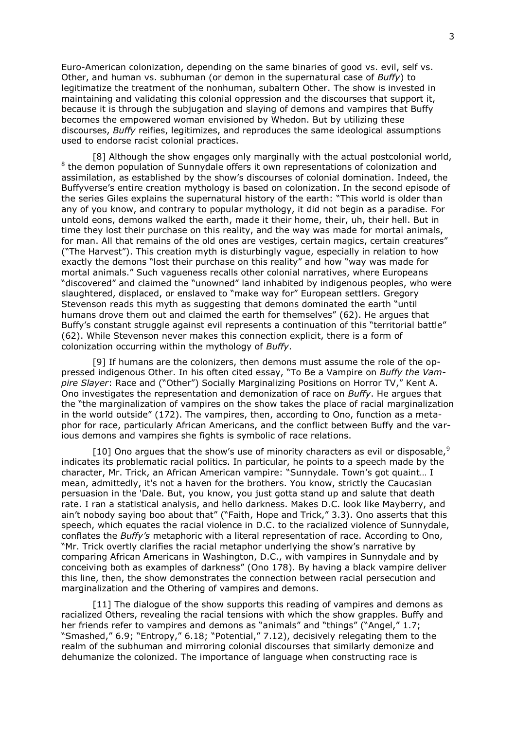Euro-American colonization, depending on the same binaries of good vs. evil, self vs. Other, and human vs. subhuman (or demon in the supernatural case of *Buffy*) to legitimatize the treatment of the nonhuman, subaltern Other. The show is invested in maintaining and validating this colonial oppression and the discourses that support it, because it is through the subjugation and slaying of demons and vampires that Buffy becomes the empowered woman envisioned by Whedon. But by utilizing these discourses, *Buffy* reifies, legitimizes, and reproduces the same ideological assumptions used to endorse racist colonial practices.

[8] Although the show engages only marginally with the actual postcolonial world, <sup>8</sup> the demon population of Sunnydale offers it own representations of colonization and assimilation, as established by the show"s discourses of colonial domination. Indeed, the Buffyverse's entire creation mythology is based on colonization. In the second episode of the series Giles explains the supernatural history of the earth: "This world is older than any of you know, and contrary to popular mythology, it did not begin as a paradise. For untold eons, demons walked the earth, made it their home, their, uh, their hell. But in time they lost their purchase on this reality, and the way was made for mortal animals, for man. All that remains of the old ones are vestiges, certain magics, certain creatures" ("The Harvest"). This creation myth is disturbingly vague, especially in relation to how exactly the demons "lost their purchase on this reality" and how "way was made for mortal animals." Such vagueness recalls other colonial narratives, where Europeans "discovered" and claimed the "unowned" land inhabited by indigenous peoples, who were slaughtered, displaced, or enslaved to "make way for" European settlers. Gregory Stevenson reads this myth as suggesting that demons dominated the earth "until humans drove them out and claimed the earth for themselves" (62). He argues that Buffy's constant struggle against evil represents a continuation of this "territorial battle" (62). While Stevenson never makes this connection explicit, there is a form of colonization occurring within the mythology of *Buffy*.

[9] If humans are the colonizers, then demons must assume the role of the oppressed indigenous Other. In his often cited essay, "To Be a Vampire on *Buffy the Vampire Slayer*: Race and ("Other") Socially Marginalizing Positions on Horror TV," Kent A. Ono investigates the representation and demonization of race on *Buffy*. He argues that the "the marginalization of vampires on the show takes the place of racial marginalization in the world outside" (172). The vampires, then, according to Ono, function as a metaphor for race, particularly African Americans, and the conflict between Buffy and the various demons and vampires she fights is symbolic of race relations.

[10] Ono argues that the show's use of minority characters as evil or disposable.<sup>9</sup> indicates its problematic racial politics. In particular, he points to a speech made by the character, Mr. Trick, an African American vampire: "Sunnydale. Town"s got quaint… I mean, admittedly, it's not a haven for the brothers. You know, strictly the Caucasian persuasion in the 'Dale. But, you know, you just gotta stand up and salute that death rate. I ran a statistical analysis, and hello darkness. Makes D.C. look like Mayberry, and ain"t nobody saying boo about that" ("Faith, Hope and Trick," 3.3). Ono asserts that this speech, which equates the racial violence in D.C. to the racialized violence of Sunnydale, conflates the *Buffy's* metaphoric with a literal representation of race. According to Ono, "Mr. Trick overtly clarifies the racial metaphor underlying the show"s narrative by comparing African Americans in Washington, D.C., with vampires in Sunnydale and by conceiving both as examples of darkness" (Ono 178). By having a black vampire deliver this line, then, the show demonstrates the connection between racial persecution and marginalization and the Othering of vampires and demons.

[11] The dialogue of the show supports this reading of vampires and demons as racialized Others, revealing the racial tensions with which the show grapples. Buffy and her friends refer to vampires and demons as "animals" and "things" ("Angel," 1.7; "Smashed," 6.9; "Entropy," 6.18; "Potential," 7.12), decisively relegating them to the realm of the subhuman and mirroring colonial discourses that similarly demonize and dehumanize the colonized. The importance of language when constructing race is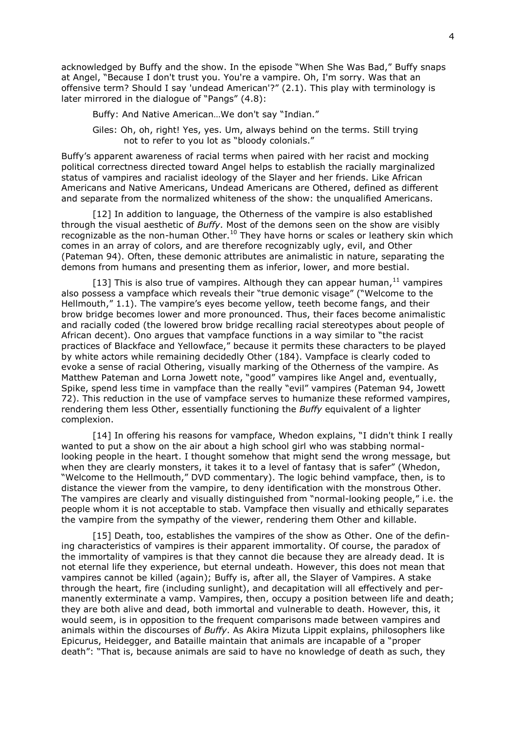acknowledged by Buffy and the show. In the episode "When She Was Bad," Buffy snaps at Angel, "Because I don't trust you. You're a vampire. Oh, I'm sorry. Was that an offensive term? Should I say 'undead American'?" (2.1). This play with terminology is later mirrored in the dialogue of "Pangs" (4.8):

Buffy: And Native American…We don't say "Indian."

Giles: Oh, oh, right! Yes, yes. Um, always behind on the terms. Still trying not to refer to you lot as "bloody colonials."

Buffy"s apparent awareness of racial terms when paired with her racist and mocking political correctness directed toward Angel helps to establish the racially marginalized status of vampires and racialist ideology of the Slayer and her friends. Like African Americans and Native Americans, Undead Americans are Othered, defined as different and separate from the normalized whiteness of the show: the unqualified Americans.

[12] In addition to language, the Otherness of the vampire is also established through the visual aesthetic of *Buffy*. Most of the demons seen on the show are visibly recognizable as the non-human Other.<sup>10</sup> They have horns or scales or leathery skin which comes in an array of colors, and are therefore recognizably ugly, evil, and Other (Pateman 94). Often, these demonic attributes are animalistic in nature, separating the demons from humans and presenting them as inferior, lower, and more bestial.

[13] This is also true of vampires. Although they can appear human,  $^{11}$  vampires also possess a vampface which reveals their "true demonic visage" ("Welcome to the Hellmouth," 1.1). The vampire's eves become vellow, teeth become fangs, and their brow bridge becomes lower and more pronounced. Thus, their faces become animalistic and racially coded (the lowered brow bridge recalling racial stereotypes about people of African decent). Ono argues that vampface functions in a way similar to "the racist practices of Blackface and Yellowface," because it permits these characters to be played by white actors while remaining decidedly Other (184). Vampface is clearly coded to evoke a sense of racial Othering, visually marking of the Otherness of the vampire. As Matthew Pateman and Lorna Jowett note, "good" vampires like Angel and, eventually, Spike, spend less time in vampface than the really "evil" vampires (Pateman 94, Jowett 72). This reduction in the use of vampface serves to humanize these reformed vampires, rendering them less Other, essentially functioning the *Buffy* equivalent of a lighter complexion.

[14] In offering his reasons for vampface, Whedon explains, "I didn't think I really wanted to put a show on the air about a high school girl who was stabbing normallooking people in the heart. I thought somehow that might send the wrong message, but when they are clearly monsters, it takes it to a level of fantasy that is safer" (Whedon, "Welcome to the Hellmouth," DVD commentary). The logic behind vampface, then, is to distance the viewer from the vampire, to deny identification with the monstrous Other. The vampires are clearly and visually distinguished from "normal-looking people," i.e. the people whom it is not acceptable to stab. Vampface then visually and ethically separates the vampire from the sympathy of the viewer, rendering them Other and killable.

[15] Death, too, establishes the vampires of the show as Other. One of the defining characteristics of vampires is their apparent immortality. Of course, the paradox of the immortality of vampires is that they cannot die because they are already dead. It is not eternal life they experience, but eternal undeath. However, this does not mean that vampires cannot be killed (again); Buffy is, after all, the Slayer of Vampires. A stake through the heart, fire (including sunlight), and decapitation will all effectively and permanently exterminate a vamp. Vampires, then, occupy a position between life and death; they are both alive and dead, both immortal and vulnerable to death. However, this, it would seem, is in opposition to the frequent comparisons made between vampires and animals within the discourses of *Buffy*. As Akira Mizuta Lippit explains, philosophers like Epicurus, Heidegger, and Bataille maintain that animals are incapable of a "proper death": "That is, because animals are said to have no knowledge of death as such, they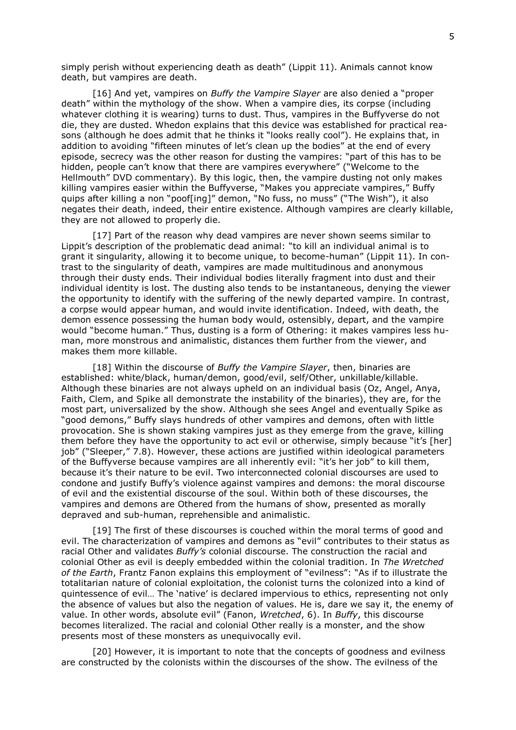simply perish without experiencing death as death" (Lippit 11). Animals cannot know death, but vampires are death.

[16] And yet, vampires on *Buffy the Vampire Slayer* are also denied a "proper death" within the mythology of the show. When a vampire dies, its corpse (including whatever clothing it is wearing) turns to dust. Thus, vampires in the Buffyverse do not die, they are dusted. Whedon explains that this device was established for practical reasons (although he does admit that he thinks it "looks really cool"). He explains that, in addition to avoiding "fifteen minutes of let's clean up the bodies" at the end of every episode, secrecy was the other reason for dusting the vampires: "part of this has to be hidden, people can't know that there are vampires everywhere" ("Welcome to the Hellmouth" DVD commentary). By this logic, then, the vampire dusting not only makes killing vampires easier within the Buffyverse, "Makes you appreciate vampires," Buffy quips after killing a non "poof[ing]" demon, "No fuss, no muss" ("The Wish"), it also negates their death, indeed, their entire existence. Although vampires are clearly killable, they are not allowed to properly die.

[17] Part of the reason why dead vampires are never shown seems similar to Lippit"s description of the problematic dead animal: "to kill an individual animal is to grant it singularity, allowing it to become unique, to become-human" (Lippit 11). In contrast to the singularity of death, vampires are made multitudinous and anonymous through their dusty ends. Their individual bodies literally fragment into dust and their individual identity is lost. The dusting also tends to be instantaneous, denying the viewer the opportunity to identify with the suffering of the newly departed vampire. In contrast, a corpse would appear human, and would invite identification. Indeed, with death, the demon essence possessing the human body would, ostensibly, depart, and the vampire would "become human." Thus, dusting is a form of Othering: it makes vampires less human, more monstrous and animalistic, distances them further from the viewer, and makes them more killable.

[18] Within the discourse of *Buffy the Vampire Slayer*, then, binaries are established: white/black, human/demon, good/evil, self/Other, unkillable/killable. Although these binaries are not always upheld on an individual basis (Oz, Angel, Anya, Faith, Clem, and Spike all demonstrate the instability of the binaries), they are, for the most part, universalized by the show. Although she sees Angel and eventually Spike as "good demons," Buffy slays hundreds of other vampires and demons, often with little provocation. She is shown staking vampires just as they emerge from the grave, killing them before they have the opportunity to act evil or otherwise, simply because "it's [her] job" ("Sleeper," 7.8). However, these actions are justified within ideological parameters of the Buffyverse because vampires are all inherently evil: "it"s her job" to kill them, because it"s their nature to be evil. Two interconnected colonial discourses are used to condone and justify Buffy"s violence against vampires and demons: the moral discourse of evil and the existential discourse of the soul. Within both of these discourses, the vampires and demons are Othered from the humans of show, presented as morally depraved and sub-human, reprehensible and animalistic.

[19] The first of these discourses is couched within the moral terms of good and evil. The characterization of vampires and demons as "evil" contributes to their status as racial Other and validates *Buffy's* colonial discourse. The construction the racial and colonial Other as evil is deeply embedded within the colonial tradition. In *The Wretched of the Earth*, Frantz Fanon explains this employment of "evilness": "As if to illustrate the totalitarian nature of colonial exploitation, the colonist turns the colonized into a kind of quintessence of evil… The "native" is declared impervious to ethics, representing not only the absence of values but also the negation of values. He is, dare we say it, the enemy of value. In other words, absolute evil" (Fanon, *Wretched*, 6). In *Buffy*, this discourse becomes literalized. The racial and colonial Other really is a monster, and the show presents most of these monsters as unequivocally evil.

[20] However, it is important to note that the concepts of goodness and evilness are constructed by the colonists within the discourses of the show. The evilness of the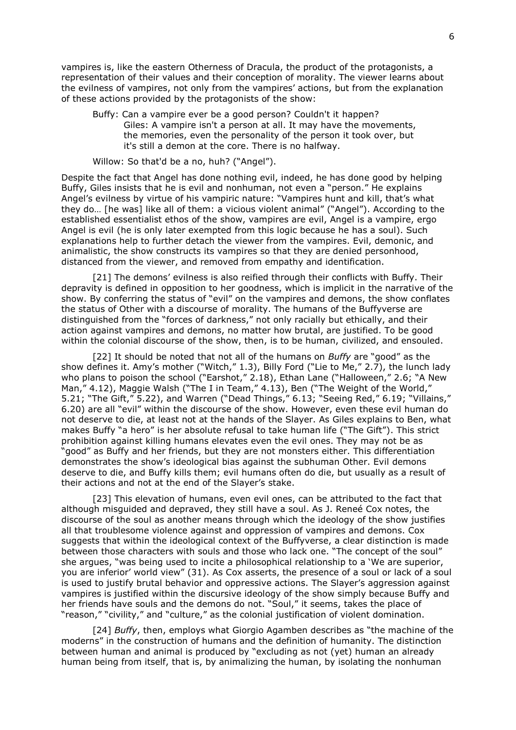vampires is, like the eastern Otherness of Dracula, the product of the protagonists, a representation of their values and their conception of morality. The viewer learns about the evilness of vampires, not only from the vampires' actions, but from the explanation of these actions provided by the protagonists of the show:

Buffy: Can a vampire ever be a good person? Couldn't it happen? Giles: A vampire isn't a person at all. It may have the movements, the memories, even the personality of the person it took over, but it's still a demon at the core. There is no halfway.

Willow: So that'd be a no, huh? ("Angel").

Despite the fact that Angel has done nothing evil, indeed, he has done good by helping Buffy, Giles insists that he is evil and nonhuman, not even a "person." He explains Angel's evilness by virtue of his vampiric nature: "Vampires hunt and kill, that's what they do… [he was] like all of them: a vicious violent animal" ("Angel"). According to the established essentialist ethos of the show, vampires are evil, Angel is a vampire, ergo Angel is evil (he is only later exempted from this logic because he has a soul). Such explanations help to further detach the viewer from the vampires. Evil, demonic, and animalistic, the show constructs its vampires so that they are denied personhood, distanced from the viewer, and removed from empathy and identification.

[21] The demons' evilness is also reified through their conflicts with Buffy. Their depravity is defined in opposition to her goodness, which is implicit in the narrative of the show. By conferring the status of "evil" on the vampires and demons, the show conflates the status of Other with a discourse of morality. The humans of the Buffyverse are distinguished from the "forces of darkness," not only racially but ethically, and their action against vampires and demons, no matter how brutal, are justified. To be good within the colonial discourse of the show, then, is to be human, civilized, and ensouled.

[22] It should be noted that not all of the humans on *Buffy* are "good" as the show defines it. Amy"s mother ("Witch," 1.3), Billy Ford ("Lie to Me," 2.7), the lunch lady who plans to poison the school ("Earshot," 2.18), Ethan Lane ("Halloween," 2.6; "A New Man," 4.12), Maggie Walsh ("The I in Team," 4.13), Ben ("The Weight of the World," 5.21; "The Gift," 5.22), and Warren ("Dead Things," 6.13; "Seeing Red," 6.19; "Villains," 6.20) are all "evil" within the discourse of the show. However, even these evil human do not deserve to die, at least not at the hands of the Slayer. As Giles explains to Ben, what makes Buffy "a hero" is her absolute refusal to take human life ("The Gift"). This strict prohibition against killing humans elevates even the evil ones. They may not be as "good" as Buffy and her friends, but they are not monsters either. This differentiation demonstrates the show"s ideological bias against the subhuman Other. Evil demons deserve to die, and Buffy kills them; evil humans often do die, but usually as a result of their actions and not at the end of the Slayer"s stake.

[23] This elevation of humans, even evil ones, can be attributed to the fact that although misguided and depraved, they still have a soul. As J. Reneé Cox notes, the discourse of the soul as another means through which the ideology of the show justifies all that troublesome violence against and oppression of vampires and demons. Cox suggests that within the ideological context of the Buffyverse, a clear distinction is made between those characters with souls and those who lack one. "The concept of the soul" she argues, "was being used to incite a philosophical relationship to a "We are superior, you are inferior" world view" (31). As Cox asserts, the presence of a soul or lack of a soul is used to justify brutal behavior and oppressive actions. The Slayer's aggression against vampires is justified within the discursive ideology of the show simply because Buffy and her friends have souls and the demons do not. "Soul," it seems, takes the place of "reason," "civility," and "culture," as the colonial justification of violent domination.

[24] *Buffy*, then, employs what Giorgio Agamben describes as "the machine of the moderns" in the construction of humans and the definition of humanity. The distinction between human and animal is produced by "excluding as not (yet) human an already human being from itself, that is, by animalizing the human, by isolating the nonhuman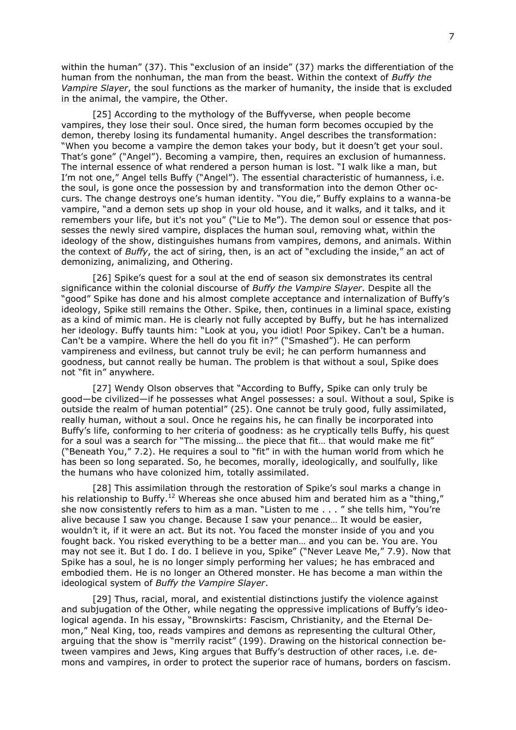within the human" (37). This "exclusion of an inside" (37) marks the differentiation of the human from the nonhuman, the man from the beast. Within the context of *Buffy the Vampire Slayer*, the soul functions as the marker of humanity, the inside that is excluded in the animal, the vampire, the Other.

[25] According to the mythology of the Buffyverse, when people become vampires, they lose their soul. Once sired, the human form becomes occupied by the demon, thereby losing its fundamental humanity. Angel describes the transformation: "When you become a vampire the demon takes your body, but it doesn't get your soul. That's gone" ("Angel"). Becoming a vampire, then, requires an exclusion of humanness. The internal essence of what rendered a person human is lost. "I walk like a man, but I"m not one," Angel tells Buffy ("Angel"). The essential characteristic of humanness, i.e. the soul, is gone once the possession by and transformation into the demon Other occurs. The change destroys one"s human identity. "You die," Buffy explains to a wanna-be vampire, "and a demon sets up shop in your old house, and it walks, and it talks, and it remembers your life, but it's not you" ("Lie to Me"). The demon soul or essence that possesses the newly sired vampire, displaces the human soul, removing what, within the ideology of the show, distinguishes humans from vampires, demons, and animals. Within the context of *Buffy*, the act of siring, then, is an act of "excluding the inside," an act of demonizing, animalizing, and Othering.

[26] Spike's quest for a soul at the end of season six demonstrates its central significance within the colonial discourse of *Buffy the Vampire Slayer*. Despite all the "good" Spike has done and his almost complete acceptance and internalization of Buffy"s ideology, Spike still remains the Other. Spike, then, continues in a liminal space, existing as a kind of mimic man. He is clearly not fully accepted by Buffy, but he has internalized her ideology. Buffy taunts him: "Look at you, you idiot! Poor Spikey. Can't be a human. Can't be a vampire. Where the hell do you fit in?" ("Smashed"). He can perform vampireness and evilness, but cannot truly be evil; he can perform humanness and goodness, but cannot really be human. The problem is that without a soul, Spike does not "fit in" anywhere.

[27] Wendy Olson observes that "According to Buffy, Spike can only truly be good—be civilized—if he possesses what Angel possesses: a soul. Without a soul, Spike is outside the realm of human potential" (25). One cannot be truly good, fully assimilated, really human, without a soul. Once he regains his, he can finally be incorporated into Buffy"s life, conforming to her criteria of goodness: as he cryptically tells Buffy, his quest for a soul was a search for "The missing… the piece that fit… that would make me fit" ("Beneath You," 7.2). He requires a soul to "fit" in with the human world from which he has been so long separated. So, he becomes, morally, ideologically, and soulfully, like the humans who have colonized him, totally assimilated.

[28] This assimilation through the restoration of Spike's soul marks a change in his relationship to Buffy.<sup>12</sup> Whereas she once abused him and berated him as a "thing." she now consistently refers to him as a man. "Listen to me . . . " she tells him, "You"re alive because I saw you change. Because I saw your penance… It would be easier, wouldn"t it, if it were an act. But its not. You faced the monster inside of you and you fought back. You risked everything to be a better man… and you can be. You are. You may not see it. But I do. I do. I believe in you, Spike" ("Never Leave Me," 7.9). Now that Spike has a soul, he is no longer simply performing her values; he has embraced and embodied them. He is no longer an Othered monster. He has become a man within the ideological system of *Buffy the Vampire Slayer*.

[29] Thus, racial, moral, and existential distinctions justify the violence against and subjugation of the Other, while negating the oppressive implications of Buffy"s ideological agenda. In his essay, "Brownskirts: Fascism, Christianity, and the Eternal Demon," Neal King, too, reads vampires and demons as representing the cultural Other, arguing that the show is "merrily racist" (199). Drawing on the historical connection between vampires and Jews, King argues that Buffy"s destruction of other races, i.e. demons and vampires, in order to protect the superior race of humans, borders on fascism.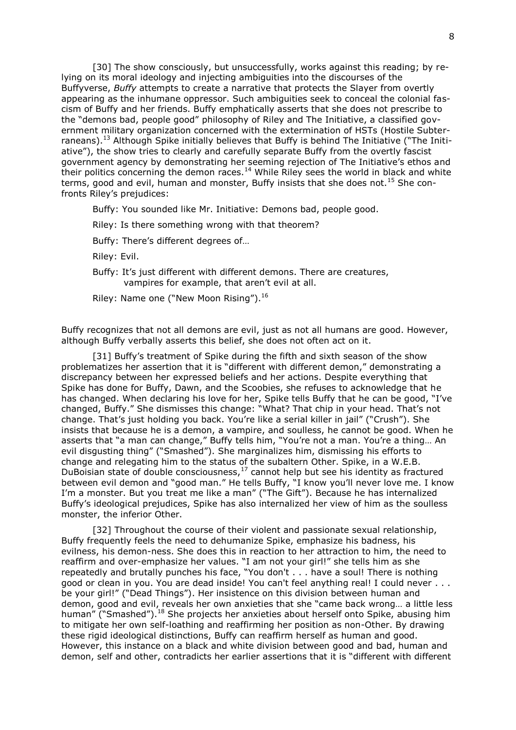[30] The show consciously, but unsuccessfully, works against this reading; by relying on its moral ideology and injecting ambiguities into the discourses of the Buffyverse, *Buffy* attempts to create a narrative that protects the Slayer from overtly appearing as the inhumane oppressor. Such ambiguities seek to conceal the colonial fascism of Buffy and her friends. Buffy emphatically asserts that she does not prescribe to the "demons bad, people good" philosophy of Riley and The Initiative, a classified government military organization concerned with the extermination of HSTs (Hostile Subterraneans).<sup>13</sup> Although Spike initially believes that Buffy is behind The Initiative ("The Initiative"), the show tries to clearly and carefully separate Buffy from the overtly fascist government agency by demonstrating her seeming rejection of The Initiative's ethos and their politics concerning the demon races.<sup>14</sup> While Riley sees the world in black and white terms, good and evil, human and monster, Buffy insists that she does not.<sup>15</sup> She confronts Riley"s prejudices:

Buffy: You sounded like Mr. Initiative: Demons bad, people good.

Riley: Is there something wrong with that theorem?

Buffy: There"s different degrees of…

Riley: Evil.

Buffy: It's just different with different demons. There are creatures, vampires for example, that aren"t evil at all.

Riley: Name one ("New Moon Rising").<sup>16</sup>

Buffy recognizes that not all demons are evil, just as not all humans are good. However, although Buffy verbally asserts this belief, she does not often act on it.

[31] Buffy's treatment of Spike during the fifth and sixth season of the show problematizes her assertion that it is "different with different demon," demonstrating a discrepancy between her expressed beliefs and her actions. Despite everything that Spike has done for Buffy, Dawn, and the Scoobies, she refuses to acknowledge that he has changed. When declaring his love for her, Spike tells Buffy that he can be good, "I've changed, Buffy." She dismisses this change: "What? That chip in your head. That"s not change. That's just holding you back. You're like a serial killer in jail" ("Crush"). She insists that because he is a demon, a vampire, and soulless, he cannot be good. When he asserts that "a man can change," Buffy tells him, "You"re not a man. You"re a thing… An evil disgusting thing" ("Smashed"). She marginalizes him, dismissing his efforts to change and relegating him to the status of the subaltern Other. Spike, in a W.E.B. DuBoisian state of double consciousness,<sup>17</sup> cannot help but see his identity as fractured between evil demon and "good man." He tells Buffy, "I know you'll never love me. I know I"m a monster. But you treat me like a man" ("The Gift"). Because he has internalized Buffy"s ideological prejudices, Spike has also internalized her view of him as the soulless monster, the inferior Other.

[32] Throughout the course of their violent and passionate sexual relationship, Buffy frequently feels the need to dehumanize Spike, emphasize his badness, his evilness, his demon-ness. She does this in reaction to her attraction to him, the need to reaffirm and over-emphasize her values. "I am not your girl!" she tells him as she repeatedly and brutally punches his face, "You don't . . . have a soul! There is nothing good or clean in you. You are dead inside! You can't feel anything real! I could never . . . be your girl!" ("Dead Things"). Her insistence on this division between human and demon, good and evil, reveals her own anxieties that she "came back wrong… a little less human" ("Smashed").<sup>18</sup> She projects her anxieties about herself onto Spike, abusing him to mitigate her own self-loathing and reaffirming her position as non-Other. By drawing these rigid ideological distinctions, Buffy can reaffirm herself as human and good. However, this instance on a black and white division between good and bad, human and demon, self and other, contradicts her earlier assertions that it is "different with different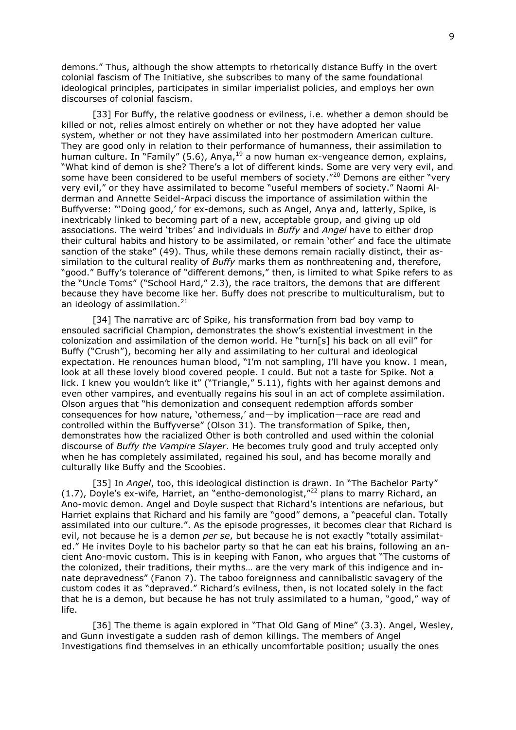demons." Thus, although the show attempts to rhetorically distance Buffy in the overt colonial fascism of The Initiative, she subscribes to many of the same foundational ideological principles, participates in similar imperialist policies, and employs her own discourses of colonial fascism.

[33] For Buffy, the relative goodness or evilness, i.e. whether a demon should be killed or not, relies almost entirely on whether or not they have adopted her value system, whether or not they have assimilated into her postmodern American culture. They are good only in relation to their performance of humanness, their assimilation to human culture. In "Family" (5.6), Anya,  $19$  a now human ex-vengeance demon, explains, "What kind of demon is she? There"s a lot of different kinds. Some are very very evil, and some have been considered to be useful members of society."<sup>20</sup> Demons are either "very very evil," or they have assimilated to become "useful members of society." Naomi Alderman and Annette Seidel-Arpaci discuss the importance of assimilation within the Buffyverse: ""Doing good," for ex-demons, such as Angel, Anya and, latterly, Spike, is inextricably linked to becoming part of a new, acceptable group, and giving up old associations. The weird "tribes" and individuals in *Buffy* and *Angel* have to either drop their cultural habits and history to be assimilated, or remain "other" and face the ultimate sanction of the stake" (49). Thus, while these demons remain racially distinct, their assimilation to the cultural reality of *Buffy* marks them as nonthreatening and, therefore, "good." Buffy's tolerance of "different demons," then, is limited to what Spike refers to as the "Uncle Toms" ("School Hard," 2.3), the race traitors, the demons that are different because they have become like her. Buffy does not prescribe to multiculturalism, but to an ideology of assimilation.<sup>21</sup>

[34] The narrative arc of Spike, his transformation from bad boy vamp to ensouled sacrificial Champion, demonstrates the show"s existential investment in the colonization and assimilation of the demon world. He "turn[s] his back on all evil" for Buffy ("Crush"), becoming her ally and assimilating to her cultural and ideological expectation. He renounces human blood, "I"m not sampling, I"ll have you know. I mean, look at all these lovely blood covered people. I could. But not a taste for Spike. Not a lick. I knew you wouldn't like it" ("Triangle," 5.11), fights with her against demons and even other vampires, and eventually regains his soul in an act of complete assimilation. Olson argues that "his demonization and consequent redemption affords somber consequences for how nature, "otherness," and—by implication—race are read and controlled within the Buffyverse" (Olson 31). The transformation of Spike, then, demonstrates how the racialized Other is both controlled and used within the colonial discourse of *Buffy the Vampire Slayer*. He becomes truly good and truly accepted only when he has completely assimilated, regained his soul, and has become morally and culturally like Buffy and the Scoobies.

[35] In *Angel*, too, this ideological distinction is drawn. In "The Bachelor Party" (1.7), Doyle's ex-wife, Harriet, an "entho-demonologist,"<sup>22</sup> plans to marry Richard, an Ano-movic demon. Angel and Doyle suspect that Richard"s intentions are nefarious, but Harriet explains that Richard and his family are "good" demons, a "peaceful clan. Totally assimilated into our culture.". As the episode progresses, it becomes clear that Richard is evil, not because he is a demon *per se*, but because he is not exactly "totally assimilated." He invites Doyle to his bachelor party so that he can eat his brains, following an ancient Ano-movic custom. This is in keeping with Fanon, who argues that "The customs of the colonized, their traditions, their myths… are the very mark of this indigence and innate depravedness" (Fanon 7). The taboo foreignness and cannibalistic savagery of the custom codes it as "depraved." Richard"s evilness, then, is not located solely in the fact that he is a demon, but because he has not truly assimilated to a human, "good," way of life.

[36] The theme is again explored in "That Old Gang of Mine" (3.3). Angel, Wesley, and Gunn investigate a sudden rash of demon killings. The members of Angel Investigations find themselves in an ethically uncomfortable position; usually the ones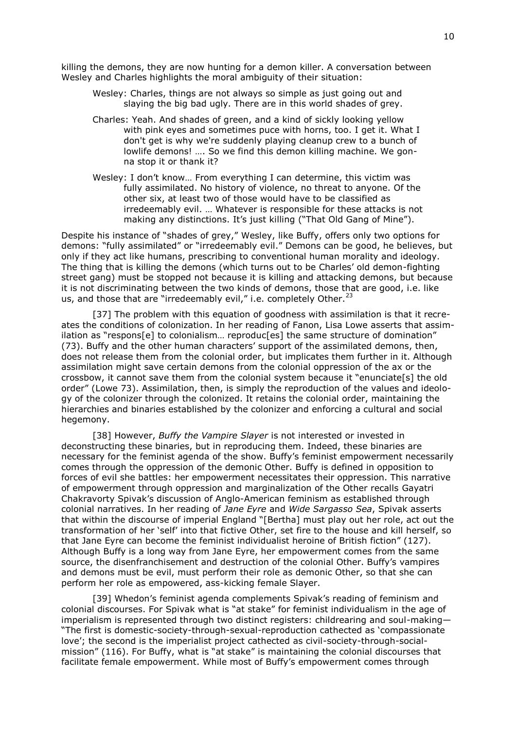killing the demons, they are now hunting for a demon killer. A conversation between Wesley and Charles highlights the moral ambiguity of their situation:

Wesley: Charles, things are not always so simple as just going out and slaying the big bad ugly. There are in this world shades of grey.

- Charles: Yeah. And shades of green, and a kind of sickly looking yellow with pink eyes and sometimes puce with horns, too. I get it. What I don't get is why we're suddenly playing cleanup crew to a bunch of lowlife demons! …. So we find this demon killing machine. We gonna stop it or thank it?
- Wesley: I don"t know… From everything I can determine, this victim was fully assimilated. No history of violence, no threat to anyone. Of the other six, at least two of those would have to be classified as irredeemably evil. … Whatever is responsible for these attacks is not making any distinctions. It's just killing ("That Old Gang of Mine").

Despite his instance of "shades of grey," Wesley, like Buffy, offers only two options for demons: "fully assimilated" or "irredeemably evil." Demons can be good, he believes, but only if they act like humans, prescribing to conventional human morality and ideology. The thing that is killing the demons (which turns out to be Charles" old demon-fighting street gang) must be stopped not because it is killing and attacking demons, but because it is not discriminating between the two kinds of demons, those that are good, i.e. like us, and those that are "irredeemably evil," i.e. completely Other.<sup>23</sup>

[37] The problem with this equation of goodness with assimilation is that it recreates the conditions of colonization. In her reading of Fanon, Lisa Lowe asserts that assimilation as "respons[e] to colonialism... reproduc[es] the same structure of domination" (73). Buffy and the other human characters" support of the assimilated demons, then, does not release them from the colonial order, but implicates them further in it. Although assimilation might save certain demons from the colonial oppression of the ax or the crossbow, it cannot save them from the colonial system because it "enunciate[s] the old order" (Lowe 73). Assimilation, then, is simply the reproduction of the values and ideology of the colonizer through the colonized. It retains the colonial order, maintaining the hierarchies and binaries established by the colonizer and enforcing a cultural and social hegemony.

[38] However, *Buffy the Vampire Slayer* is not interested or invested in deconstructing these binaries, but in reproducing them. Indeed, these binaries are necessary for the feminist agenda of the show. Buffy"s feminist empowerment necessarily comes through the oppression of the demonic Other. Buffy is defined in opposition to forces of evil she battles: her empowerment necessitates their oppression. This narrative of empowerment through oppression and marginalization of the Other recalls Gayatri Chakravorty Spivak"s discussion of Anglo-American feminism as established through colonial narratives. In her reading of *Jane Eyre* and *Wide Sargasso Sea*, Spivak asserts that within the discourse of imperial England "[Bertha] must play out her role, act out the transformation of her "self" into that fictive Other, set fire to the house and kill herself, so that Jane Eyre can become the feminist individualist heroine of British fiction" (127). Although Buffy is a long way from Jane Eyre, her empowerment comes from the same source, the disenfranchisement and destruction of the colonial Other. Buffy"s vampires and demons must be evil, must perform their role as demonic Other, so that she can perform her role as empowered, ass-kicking female Slayer.

[39] Whedon's feminist agenda complements Spivak's reading of feminism and colonial discourses. For Spivak what is "at stake" for feminist individualism in the age of imperialism is represented through two distinct registers: childrearing and soul-making— "The first is domestic-society-through-sexual-reproduction cathected as "compassionate love"; the second is the imperialist project cathected as civil-society-through-socialmission" (116). For Buffy, what is "at stake" is maintaining the colonial discourses that facilitate female empowerment. While most of Buffy"s empowerment comes through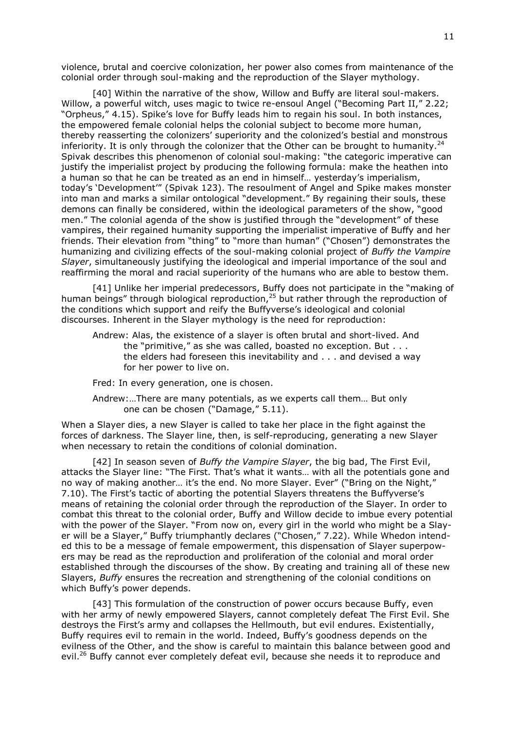violence, brutal and coercive colonization, her power also comes from maintenance of the colonial order through soul-making and the reproduction of the Slayer mythology.

[40] Within the narrative of the show, Willow and Buffy are literal soul-makers. Willow, a powerful witch, uses magic to twice re-ensoul Angel ("Becoming Part II," 2.22; "Orpheus," 4.15). Spike"s love for Buffy leads him to regain his soul. In both instances, the empowered female colonial helps the colonial subject to become more human, thereby reasserting the colonizers" superiority and the colonized"s bestial and monstrous inferiority. It is only through the colonizer that the Other can be brought to humanity.<sup>24</sup> Spivak describes this phenomenon of colonial soul-making: "the categoric imperative can justify the imperialist project by producing the following formula: make the heathen into a human so that he can be treated as an end in himself… yesterday"s imperialism, today"s "Development"" (Spivak 123). The resoulment of Angel and Spike makes monster into man and marks a similar ontological "development." By regaining their souls, these demons can finally be considered, within the ideological parameters of the show, "good men." The colonial agenda of the show is justified through the "development" of these vampires, their regained humanity supporting the imperialist imperative of Buffy and her friends. Their elevation from "thing" to "more than human" ("Chosen") demonstrates the humanizing and civilizing effects of the soul-making colonial project of *Buffy the Vampire Slayer*, simultaneously justifying the ideological and imperial importance of the soul and reaffirming the moral and racial superiority of the humans who are able to bestow them.

[41] Unlike her imperial predecessors, Buffy does not participate in the "making of human beings" through biological reproduction, $^{25}$  but rather through the reproduction of the conditions which support and reify the Buffyverse's ideological and colonial discourses. Inherent in the Slayer mythology is the need for reproduction:

Andrew: Alas, the existence of a slayer is often brutal and short-lived. And the "primitive," as she was called, boasted no exception. But . . . the elders had foreseen this inevitability and . . . and devised a way for her power to live on.

Fred: In every generation, one is chosen.

Andrew:…There are many potentials, as we experts call them… But only one can be chosen ("Damage," 5.11).

When a Slayer dies, a new Slayer is called to take her place in the fight against the forces of darkness. The Slayer line, then, is self-reproducing, generating a new Slayer when necessary to retain the conditions of colonial domination.

[42] In season seven of *Buffy the Vampire Slayer*, the big bad, The First Evil, attacks the Slayer line: "The First. That"s what it wants… with all the potentials gone and no way of making another... it's the end. No more Slayer. Ever" ("Bring on the Night," 7.10). The First"s tactic of aborting the potential Slayers threatens the Buffyverse"s means of retaining the colonial order through the reproduction of the Slayer. In order to combat this threat to the colonial order, Buffy and Willow decide to imbue every potential with the power of the Slayer. "From now on, every girl in the world who might be a Slayer will be a Slayer," Buffy triumphantly declares ("Chosen," 7.22). While Whedon intended this to be a message of female empowerment, this dispensation of Slayer superpowers may be read as the reproduction and proliferation of the colonial and moral order established through the discourses of the show. By creating and training all of these new Slayers, *Buffy* ensures the recreation and strengthening of the colonial conditions on which Buffy"s power depends.

[43] This formulation of the construction of power occurs because Buffy, even with her army of newly empowered Slayers, cannot completely defeat The First Evil. She destroys the First"s army and collapses the Hellmouth, but evil endures. Existentially, Buffy requires evil to remain in the world. Indeed, Buffy"s goodness depends on the evilness of the Other, and the show is careful to maintain this balance between good and evil.<sup>26</sup> Buffy cannot ever completely defeat evil, because she needs it to reproduce and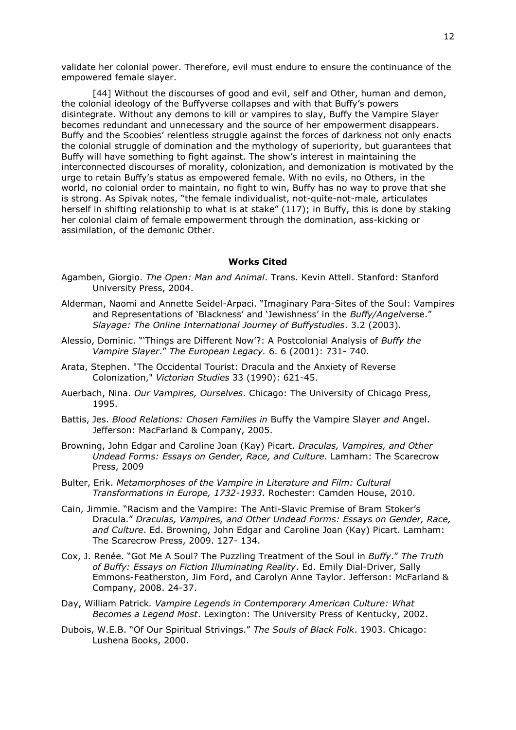validate her colonial power. Therefore, evil must endure to ensure the continuance of the empowered female slayer.

[44] Without the discourses of good and evil, self and Other, human and demon, the colonial ideology of the Buffyverse collapses and with that Buffy"s powers disintegrate. Without any demons to kill or vampires to slay, Buffy the Vampire Slayer becomes redundant and unnecessary and the source of her empowerment disappears. Buffy and the Scoobies' relentless struggle against the forces of darkness not only enacts the colonial struggle of domination and the mythology of superiority, but guarantees that Buffy will have something to fight against. The show"s interest in maintaining the interconnected discourses of morality, colonization, and demonization is motivated by the urge to retain Buffy"s status as empowered female. With no evils, no Others, in the world, no colonial order to maintain, no fight to win, Buffy has no way to prove that she is strong. As Spivak notes, "the female individualist, not-quite-not-male, articulates herself in shifting relationship to what is at stake" (117); in Buffy, this is done by staking her colonial claim of female empowerment through the domination, ass-kicking or assimilation, of the demonic Other.

## **Works Cited**

- Agamben, Giorgio. *The Open: Man and Animal*. Trans. Kevin Attell. Stanford: Stanford University Press, 2004.
- Alderman, Naomi and Annette Seidel-Arpaci. "Imaginary Para-Sites of the Soul: Vampires and Representations of "Blackness" and "Jewishness" in the *Buffy/Angel*verse." *Slayage: The Online International Journey of Buffystudies*. 3.2 (2003).
- Alessio, Dominic. ""Things are Different Now"?: A Postcolonial Analysis of *Buffy the Vampire Slayer*." *The European Legacy.* 6. 6 (2001): 731- 740.
- Arata, Stephen. "The Occidental Tourist: Dracula and the Anxiety of Reverse Colonization," *Victorian Studies* 33 (1990): 621-45.
- Auerbach, Nina. *Our Vampires, Ourselves*. Chicago: The University of Chicago Press, 1995.
- Battis, Jes. *Blood Relations: Chosen Families in* Buffy the Vampire Slayer *and* Angel. Jefferson: MacFarland & Company, 2005.
- Browning, John Edgar and Caroline Joan (Kay) Picart. *Draculas, Vampires, and Other Undead Forms: Essays on Gender, Race, and Culture*. Lamham: The Scarecrow Press, 2009
- Bulter, Erik. *Metamorphoses of the Vampire in Literature and Film: Cultural Transformations in Europe, 1732-1933*. Rochester: Camden House, 2010.
- Cain, Jimmie. "Racism and the Vampire: The Anti-Slavic Premise of Bram Stoker"s Dracula." *Draculas, Vampires, and Other Undead Forms: Essays on Gender, Race, and Culture*. Ed. Browning, John Edgar and Caroline Joan (Kay) Picart. Lamham: The Scarecrow Press, 2009. 127- 134.
- Cox, J. Renée. "Got Me A Soul? The Puzzling Treatment of the Soul in *Buffy*." *The Truth of Buffy: Essays on Fiction Illuminating Reality*. Ed. Emily Dial-Driver, Sally Emmons-Featherston, Jim Ford, and Carolyn Anne Taylor. Jefferson: McFarland & Company, 2008. 24-37.
- Day, William Patrick*. Vampire Legends in Contemporary American Culture: What Becomes a Legend Most*. Lexington: The University Press of Kentucky, 2002.
- Dubois, W.E.B. "Of Our Spiritual Strivings." *The Souls of Black Folk*. 1903. Chicago: Lushena Books, 2000.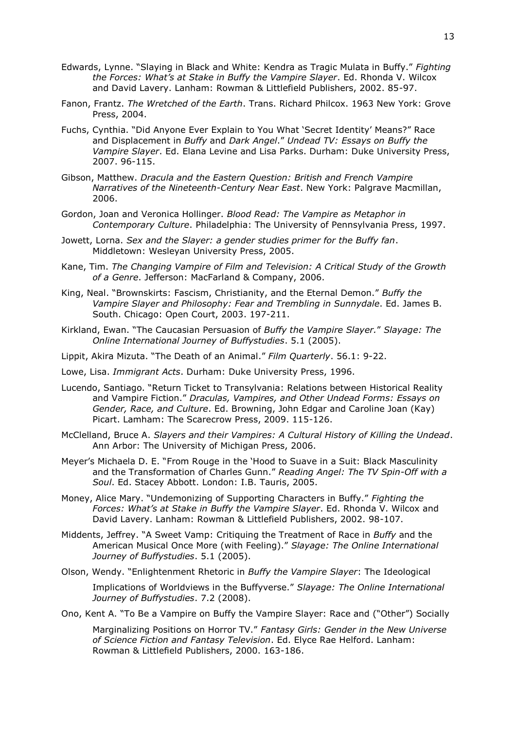- Edwards, Lynne. "Slaying in Black and White: Kendra as Tragic Mulata in Buffy." *Fighting the Forces: What's at Stake in Buffy the Vampire Slayer*. Ed. Rhonda V. Wilcox and David Lavery. Lanham: Rowman & Littlefield Publishers, 2002. 85-97.
- Fanon, Frantz. *The Wretched of the Earth*. Trans. Richard Philcox. 1963 New York: Grove Press, 2004.
- Fuchs, Cynthia. "Did Anyone Ever Explain to You What "Secret Identity" Means?" Race and Displacement in *Buffy* and *Dark Angel*." *Undead TV: Essays on Buffy the Vampire Slayer*. Ed. Elana Levine and Lisa Parks. Durham: Duke University Press, 2007. 96-115.
- Gibson, Matthew. *Dracula and the Eastern Question: British and French Vampire Narratives of the Nineteenth-Century Near East*. New York: Palgrave Macmillan, 2006.
- Gordon, Joan and Veronica Hollinger. *Blood Read: The Vampire as Metaphor in Contemporary Culture*. Philadelphia: The University of Pennsylvania Press, 1997.
- Jowett, Lorna. *Sex and the Slayer: a gender studies primer for the Buffy fan*. Middletown: Wesleyan University Press, 2005.
- Kane, Tim. *The Changing Vampire of Film and Television: A Critical Study of the Growth of a Genre*. Jefferson: MacFarland & Company, 2006.
- King, Neal. "Brownskirts: Fascism, Christianity, and the Eternal Demon." *Buffy the Vampire Slayer and Philosophy: Fear and Trembling in Sunnydale*. Ed. James B. South. Chicago: Open Court, 2003. 197-211.
- Kirkland, Ewan. "The Caucasian Persuasion of *Buffy the Vampire Slayer.*" *Slayage: The Online International Journey of Buffystudies*. 5.1 (2005).
- Lippit, Akira Mizuta. "The Death of an Animal." *Film Quarterly*. 56.1: 9-22.
- Lowe, Lisa. *Immigrant Acts*. Durham: Duke University Press, 1996.
- Lucendo, Santiago. "Return Ticket to Transylvania: Relations between Historical Reality and Vampire Fiction." *Draculas, Vampires, and Other Undead Forms: Essays on Gender, Race, and Culture*. Ed. Browning, John Edgar and Caroline Joan (Kay) Picart. Lamham: The Scarecrow Press, 2009. 115-126.
- McClelland, Bruce A. *Slayers and their Vampires: A Cultural History of Killing the Undead*. Ann Arbor: The University of Michigan Press, 2006.
- Meyer"s Michaela D. E. "From Rouge in the "Hood to Suave in a Suit: Black Masculinity and the Transformation of Charles Gunn." *Reading Angel: The TV Spin-Off with a Soul*. Ed. Stacey Abbott. London: I.B. Tauris, 2005.
- Money, Alice Mary. "Undemonizing of Supporting Characters in Buffy." *Fighting the Forces: What's at Stake in Buffy the Vampire Slayer*. Ed. Rhonda V. Wilcox and David Lavery. Lanham: Rowman & Littlefield Publishers, 2002. 98-107.
- Middents, Jeffrey. "A Sweet Vamp: Critiquing the Treatment of Race in *Buffy* and the American Musical Once More (with Feeling)." *Slayage: The Online International Journey of Buffystudies*. 5.1 (2005).
- Olson, Wendy. "Enlightenment Rhetoric in *Buffy the Vampire Slayer*: The Ideological

Implications of Worldviews in the Buffyverse." *Slayage: The Online International Journey of Buffystudies*. 7.2 (2008).

Ono, Kent A. "To Be a Vampire on Buffy the Vampire Slayer: Race and ("Other") Socially

Marginalizing Positions on Horror TV." *Fantasy Girls: Gender in the New Universe of Science Fiction and Fantasy Television*. Ed. Elyce Rae Helford. Lanham: Rowman & Littlefield Publishers, 2000. 163-186.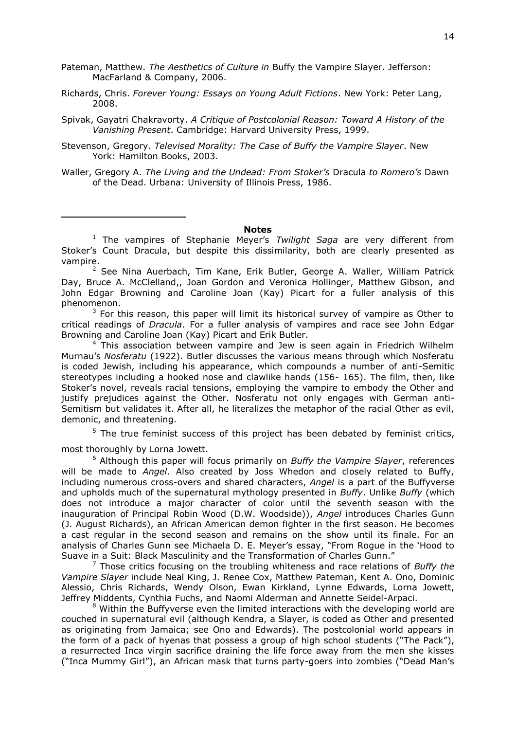- Pateman, Matthew. *The Aesthetics of Culture in* Buffy the Vampire Slayer. Jefferson: MacFarland & Company, 2006.
- Richards, Chris. *Forever Young: Essays on Young Adult Fictions*. New York: Peter Lang, 2008.
- Spivak, Gayatri Chakravorty. *A Critique of Postcolonial Reason: Toward A History of the Vanishing Present*. Cambridge: Harvard University Press, 1999.
- Stevenson, Gregory. *Televised Morality: The Case of Buffy the Vampire Slayer*. New York: Hamilton Books, 2003.

-

Waller, Gregory A. *The Living and the Undead: From Stoker's* Dracula *to Romero's* Dawn of the Dead. Urbana: University of Illinois Press, 1986.

## **Notes**

<sup>1</sup> The vampires of Stephanie Meyer's *Twilight Saga* are very different from Stoker"s Count Dracula, but despite this dissimilarity, both are clearly presented as vampire.

 $2$  See Nina Auerbach, Tim Kane, Erik Butler, George A. Waller, William Patrick Day, Bruce A. McClelland,, Joan Gordon and Veronica Hollinger, Matthew Gibson, and John Edgar Browning and Caroline Joan (Kay) Picart for a fuller analysis of this phenomenon.

 $3$  For this reason, this paper will limit its historical survey of vampire as Other to critical readings of *Dracula*. For a fuller analysis of vampires and race see John Edgar Browning and Caroline Joan (Kay) Picart and Erik Butler.

 $4$  This association between vampire and Jew is seen again in Friedrich Wilhelm Murnau"s *Nosferatu* (1922). Butler discusses the various means through which Nosferatu is coded Jewish, including his appearance, which compounds a number of anti-Semitic stereotypes including a hooked nose and clawlike hands (156- 165). The film, then, like Stoker's novel, reveals racial tensions, employing the vampire to embody the Other and justify prejudices against the Other. Nosferatu not only engages with German anti-Semitism but validates it. After all, he literalizes the metaphor of the racial Other as evil, demonic, and threatening.

 $5$  The true feminist success of this project has been debated by feminist critics, most thoroughly by Lorna Jowett.

<sup>6</sup> Although this paper will focus primarily on *Buffy the Vampire Slayer*, references will be made to *Angel*. Also created by Joss Whedon and closely related to Buffy, including numerous cross-overs and shared characters, *Angel* is a part of the Buffyverse and upholds much of the supernatural mythology presented in *Buffy*. Unlike *Buffy* (which does not introduce a major character of color until the seventh season with the inauguration of Principal Robin Wood (D.W. Woodside)), *Angel* introduces Charles Gunn (J. August Richards), an African American demon fighter in the first season. He becomes a cast regular in the second season and remains on the show until its finale. For an analysis of Charles Gunn see Michaela D. E. Meyer"s essay, "From Rogue in the "Hood to Suave in a Suit: Black Masculinity and the Transformation of Charles Gunn."

<sup>7</sup> Those critics focusing on the troubling whiteness and race relations of *Buffy the Vampire Slayer* include Neal King, J. Renee Cox, Matthew Pateman, Kent A. Ono, Dominic Alessio, Chris Richards, Wendy Olson, Ewan Kirkland, Lynne Edwards, Lorna Jowett, Jeffrey Middents, Cynthia Fuchs, and Naomi Alderman and Annette Seidel-Arpaci.

 $8$  Within the Buffyverse even the limited interactions with the developing world are couched in supernatural evil (although Kendra, a Slayer, is coded as Other and presented as originating from Jamaica; see Ono and Edwards). The postcolonial world appears in the form of a pack of hyenas that possess a group of high school students ("The Pack"), a resurrected Inca virgin sacrifice draining the life force away from the men she kisses ("Inca Mummy Girl"), an African mask that turns party-goers into zombies ("Dead Man"s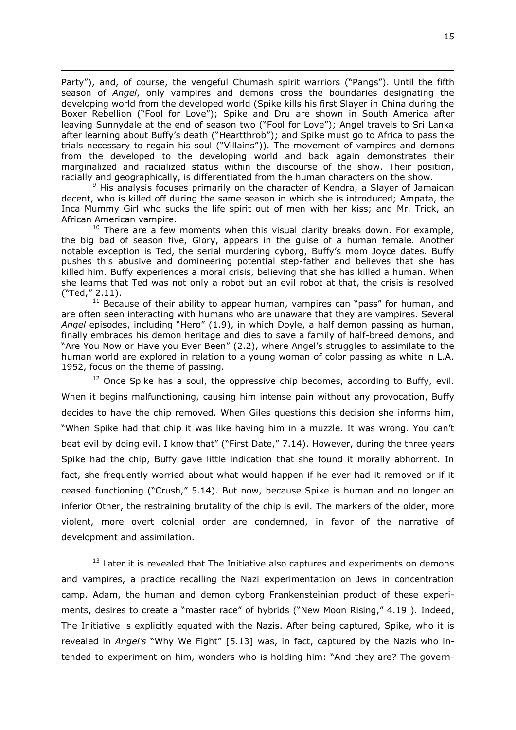Party"), and, of course, the vengeful Chumash spirit warriors ("Pangs"). Until the fifth season of *Angel*, only vampires and demons cross the boundaries designating the developing world from the developed world (Spike kills his first Slayer in China during the Boxer Rebellion ("Fool for Love"); Spike and Dru are shown in South America after leaving Sunnydale at the end of season two ("Fool for Love"); Angel travels to Sri Lanka after learning about Buffy's death ("Heartthrob"); and Spike must go to Africa to pass the trials necessary to regain his soul ("Villains")). The movement of vampires and demons from the developed to the developing world and back again demonstrates their marginalized and racialized status within the discourse of the show. Their position, racially and geographically, is differentiated from the human characters on the show.

 $\overline{a}$ 

 $9$  His analysis focuses primarily on the character of Kendra, a Slayer of Jamaican decent, who is killed off during the same season in which she is introduced; Ampata, the Inca Mummy Girl who sucks the life spirit out of men with her kiss; and Mr. Trick, an African American vampire.

 $10$  There are a few moments when this visual clarity breaks down. For example, the big bad of season five, Glory, appears in the guise of a human female. Another notable exception is Ted, the serial murdering cyborg, Buffy"s mom Joyce dates. Buffy pushes this abusive and domineering potential step-father and believes that she has killed him. Buffy experiences a moral crisis, believing that she has killed a human. When she learns that Ted was not only a robot but an evil robot at that, the crisis is resolved ("Ted," 2.11).

 $11$  Because of their ability to appear human, vampires can "pass" for human, and are often seen interacting with humans who are unaware that they are vampires. Several *Angel* episodes, including "Hero" (1.9), in which Doyle, a half demon passing as human, finally embraces his demon heritage and dies to save a family of half-breed demons, and "Are You Now or Have you Ever Been" (2.2), where Angel"s struggles to assimilate to the human world are explored in relation to a young woman of color passing as white in L.A. 1952, focus on the theme of passing.

 $12$  Once Spike has a soul, the oppressive chip becomes, according to Buffy, evil. When it begins malfunctioning, causing him intense pain without any provocation, Buffy decides to have the chip removed. When Giles questions this decision she informs him, "When Spike had that chip it was like having him in a muzzle. It was wrong. You can"t beat evil by doing evil. I know that" ("First Date," 7.14). However, during the three years Spike had the chip, Buffy gave little indication that she found it morally abhorrent. In fact, she frequently worried about what would happen if he ever had it removed or if it ceased functioning ("Crush," 5.14). But now, because Spike is human and no longer an inferior Other, the restraining brutality of the chip is evil. The markers of the older, more violent, more overt colonial order are condemned, in favor of the narrative of development and assimilation.

 $13$  Later it is revealed that The Initiative also captures and experiments on demons and vampires, a practice recalling the Nazi experimentation on Jews in concentration camp. Adam, the human and demon cyborg Frankensteinian product of these experiments, desires to create a "master race" of hybrids ("New Moon Rising," 4.19 ). Indeed, The Initiative is explicitly equated with the Nazis. After being captured, Spike, who it is revealed in *Angel's* "Why We Fight" [5.13] was, in fact, captured by the Nazis who intended to experiment on him, wonders who is holding him: "And they are? The govern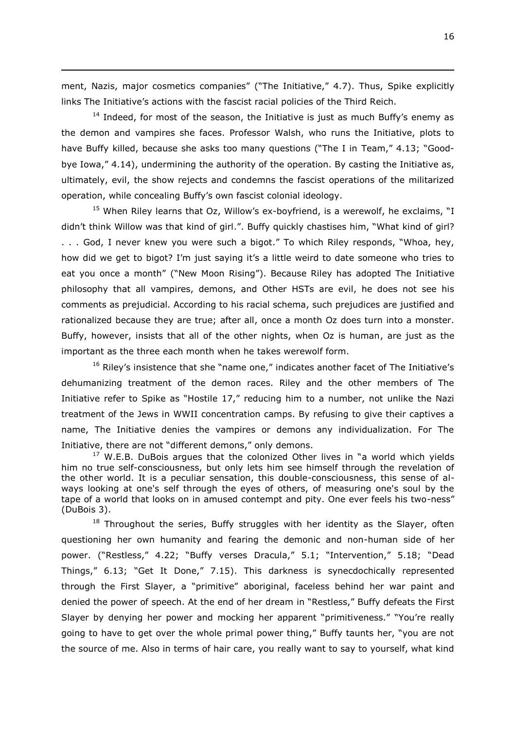ment, Nazis, major cosmetics companies" ("The Initiative," 4.7). Thus, Spike explicitly links The Initiative's actions with the fascist racial policies of the Third Reich.

 $\overline{a}$ 

 $14$  Indeed, for most of the season, the Initiative is just as much Buffy's enemy as the demon and vampires she faces. Professor Walsh, who runs the Initiative, plots to have Buffy killed, because she asks too many questions ("The I in Team," 4.13; "Goodbye Iowa," 4.14), undermining the authority of the operation. By casting the Initiative as, ultimately, evil, the show rejects and condemns the fascist operations of the militarized operation, while concealing Buffy"s own fascist colonial ideology.

<sup>15</sup> When Riley learns that Oz, Willow's ex-boyfriend, is a werewolf, he exclaims, "I didn"t think Willow was that kind of girl.". Buffy quickly chastises him, "What kind of girl? . . . God, I never knew you were such a bigot." To which Riley responds, "Whoa, hey, how did we get to bigot? I'm just saying it's a little weird to date someone who tries to eat you once a month" ("New Moon Rising"). Because Riley has adopted The Initiative philosophy that all vampires, demons, and Other HSTs are evil, he does not see his comments as prejudicial. According to his racial schema, such prejudices are justified and rationalized because they are true; after all, once a month Oz does turn into a monster. Buffy, however, insists that all of the other nights, when Oz is human, are just as the important as the three each month when he takes werewolf form.

<sup>16</sup> Riley's insistence that she "name one," indicates another facet of The Initiative's dehumanizing treatment of the demon races. Riley and the other members of The Initiative refer to Spike as "Hostile 17," reducing him to a number, not unlike the Nazi treatment of the Jews in WWII concentration camps. By refusing to give their captives a name, The Initiative denies the vampires or demons any individualization. For The Initiative, there are not "different demons," only demons.

 $17$  W.E.B. DuBois argues that the colonized Other lives in "a world which yields him no true self-consciousness, but only lets him see himself through the revelation of the other world. It is a peculiar sensation, this double-consciousness, this sense of always looking at one's self through the eyes of others, of measuring one's soul by the tape of a world that looks on in amused contempt and pity. One ever feels his two-ness" (DuBois 3).

 $18$  Throughout the series, Buffy struggles with her identity as the Slayer, often questioning her own humanity and fearing the demonic and non-human side of her power. ("Restless," 4.22; "Buffy verses Dracula," 5.1; "Intervention," 5.18; "Dead Things," 6.13; "Get It Done," 7.15). This darkness is synecdochically represented through the First Slayer, a "primitive" aboriginal, faceless behind her war paint and denied the power of speech. At the end of her dream in "Restless," Buffy defeats the First Slayer by denying her power and mocking her apparent "primitiveness." "You"re really going to have to get over the whole primal power thing," Buffy taunts her, "you are not the source of me. Also in terms of hair care, you really want to say to yourself, what kind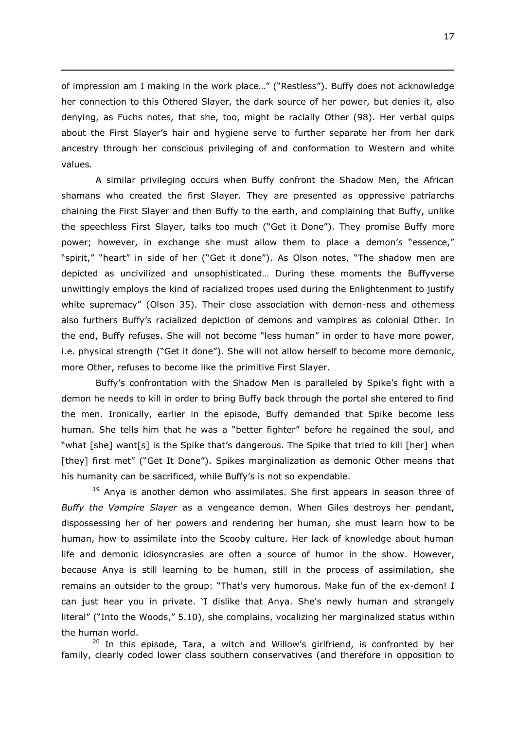of impression am I making in the work place…" ("Restless"). Buffy does not acknowledge her connection to this Othered Slayer, the dark source of her power, but denies it, also denying, as Fuchs notes, that she, too, might be racially Other (98). Her verbal quips about the First Slayer"s hair and hygiene serve to further separate her from her dark ancestry through her conscious privileging of and conformation to Western and white values.

 $\overline{a}$ 

A similar privileging occurs when Buffy confront the Shadow Men, the African shamans who created the first Slayer. They are presented as oppressive patriarchs chaining the First Slayer and then Buffy to the earth, and complaining that Buffy, unlike the speechless First Slayer, talks too much ("Get it Done"). They promise Buffy more power; however, in exchange she must allow them to place a demon's "essence," "spirit," "heart" in side of her ("Get it done"). As Olson notes, "The shadow men are depicted as uncivilized and unsophisticated… During these moments the Buffyverse unwittingly employs the kind of racialized tropes used during the Enlightenment to justify white supremacy" (Olson 35). Their close association with demon-ness and otherness also furthers Buffy"s racialized depiction of demons and vampires as colonial Other. In the end, Buffy refuses. She will not become "less human" in order to have more power, i.e. physical strength ("Get it done"). She will not allow herself to become more demonic, more Other, refuses to become like the primitive First Slayer.

Buffy's confrontation with the Shadow Men is paralleled by Spike's fight with a demon he needs to kill in order to bring Buffy back through the portal she entered to find the men. Ironically, earlier in the episode, Buffy demanded that Spike become less human. She tells him that he was a "better fighter" before he regained the soul, and "what [she] want[s] is the Spike that"s dangerous. The Spike that tried to kill [her] when [they] first met" ("Get It Done"). Spikes marginalization as demonic Other means that his humanity can be sacrificed, while Buffy"s is not so expendable.

<sup>19</sup> Anya is another demon who assimilates. She first appears in season three of *Buffy the Vampire Slayer* as a vengeance demon. When Giles destroys her pendant, dispossessing her of her powers and rendering her human, she must learn how to be human, how to assimilate into the Scooby culture. Her lack of knowledge about human life and demonic idiosyncrasies are often a source of humor in the show. However, because Anya is still learning to be human, still in the process of assimilation, she remains an outsider to the group: "That's very humorous. Make fun of the ex-demon! I can just hear you in private. "I dislike that Anya. She's newly human and strangely literal" ("Into the Woods," 5.10), she complains, vocalizing her marginalized status within the human world.

 $20$  In this episode, Tara, a witch and Willow's girlfriend, is confronted by her family, clearly coded lower class southern conservatives (and therefore in opposition to